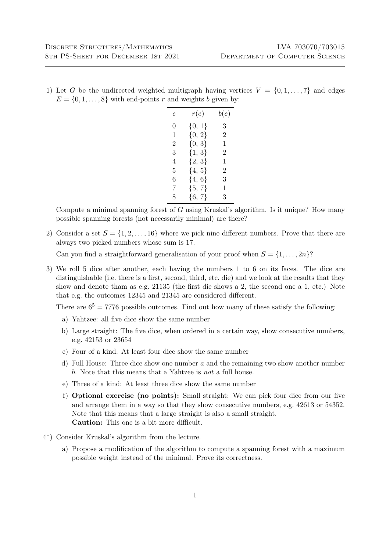1) Let G be the undirected weighted multigraph having vertices  $V = \{0, 1, \ldots, 7\}$  and edges  $E = \{0, 1, \ldots, 8\}$  with end-points r and weights b given by:

| e | r(e)       | b(e)           |
|---|------------|----------------|
| 0 | ${0, 1}$   | 3              |
| 1 | ${0, 2}$   | 2              |
| 2 | ${0, 3}$   | 1              |
| 3 | ${1, 3}$   | $\overline{2}$ |
| 4 | ${2, 3}$   | 1              |
| 5 | $\{4, 5\}$ | $\overline{2}$ |
| 6 | $\{4, 6\}$ | 3              |
| 7 | ${5, 7}$   | 1              |
| 8 | $\{6, 7\}$ | 3              |

Compute a minimal spanning forest of  $G$  using Kruskal's algorithm. Is it unique? How many possible spanning forests (not necessarily minimal) are there?

2) Consider a set  $S = \{1, 2, ..., 16\}$  where we pick nine different numbers. Prove that there are always two picked numbers whose sum is 17.

Can you find a straightforward generalisation of your proof when  $S = \{1, \ldots, 2n\}$ ?

3) We roll 5 dice after another, each having the numbers 1 to 6 on its faces. The dice are distinguishable (i.e. there is a first, second, third, etc. die) and we look at the results that they show and denote tham as e.g. 21135 (the first die shows a 2, the second one a 1, etc.) Note that e.g. the outcomes 12345 and 21345 are considered different.

There are  $6^5 = 7776$  possible outcomes. Find out how many of these satisfy the following:

- a) Yahtzee: all five dice show the same number
- b) Large straight: The five dice, when ordered in a certain way, show consecutive numbers, e.g. 42153 or 23654
- c) Four of a kind: At least four dice show the same number
- d) Full House: Three dice show one number a and the remaining two show another number b. Note that this means that a Yahtzee is not a full house.
- e) Three of a kind: At least three dice show the same number
- f) Optional exercise (no points): Small straight: We can pick four dice from our five and arrange them in a way so that they show consecutive numbers, e.g. 42613 or 54352. Note that this means that a large straight is also a small straight. Caution: This one is a bit more difficult.
- 4\*) Consider Kruskal's algorithm from the lecture.
	- a) Propose a modification of the algorithm to compute a spanning forest with a maximum possible weight instead of the minimal. Prove its correctness.